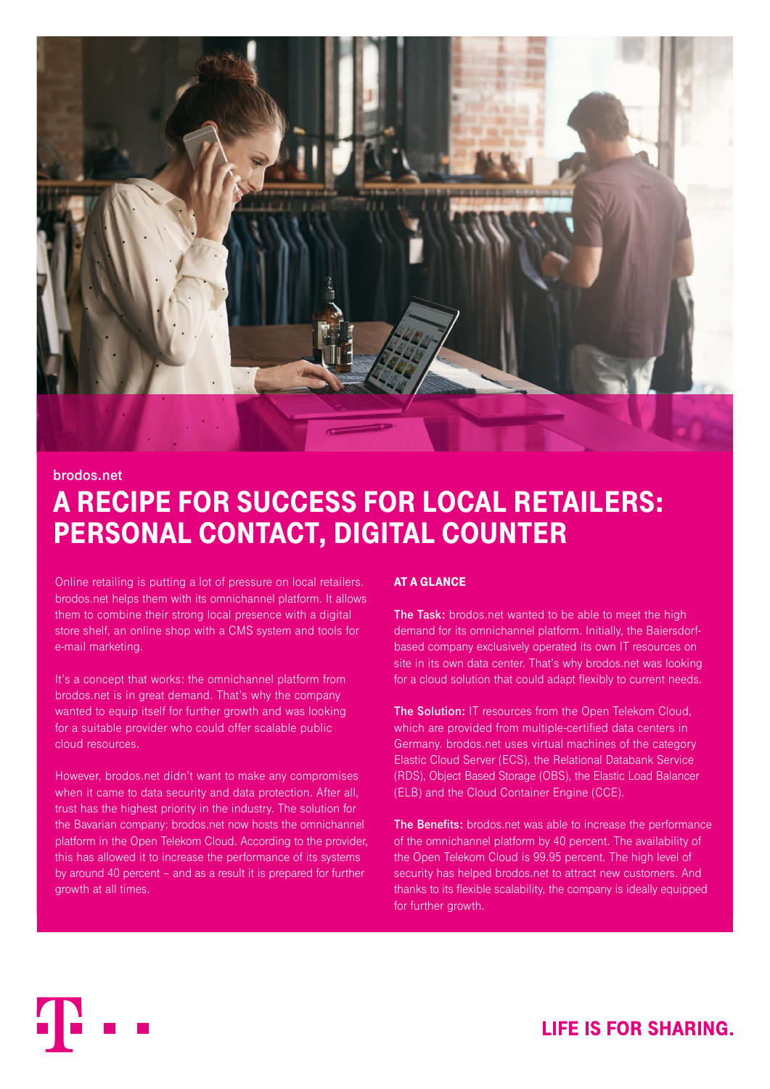

## **brodos.net**

# A RECIPE FOR SUCCESS FOR LOCAL RETAILERS: PERSONAL CONTACT, DIGITAL COUNTER

Online retailing is putting a lot of pressure on local retailers. brodos.net helps them with its omnichannel platform. It allows them to combine their strong local presence with a digital store shelf, an online shop with a CMS system and tools for e-mail marketing.

It's a concept that works: the omnichannel platform from brodos.net is in great demand. That's why the company wanted to equip itself for further growth and was looking for a suitable provider who could offer scalable public cloud resources.

However, brodos.net didn't want to make any compromises when it came to data security and data protection. After all, trust has the highest priority in the industry. The solution for the Bavarian company: brodos.net now hosts the omnichannel platform in the Open Telekom Cloud. According to the provider, this has allowed it to increase the performance of its systems by around 40 percent – and as a result it is prepared for further growth at all times.

# AT A GLANCE

**The Task:** brodos.net wanted to be able to meet the high demand for its omnichannel platform. Initially, the Baiersdorfbased company exclusively operated its own IT resources on site in its own data center. That's why brodos.net was looking for a cloud solution that could adapt flexibly to current needs.

**The Solution:** IT resources from the Open Telekom Cloud, which are provided from multiple-certified data centers in Germany. brodos.net uses virtual machines of the category Elastic Cloud Server (ECS), the Relational Databank Service (RDS), Object Based Storage (OBS), the Elastic Load Balancer (ELB) and the Cloud Container Engine (CCE).

**The Benefits:** brodos.net was able to increase the performance of the omnichannel platform by 40 percent. The availability of the Open Telekom Cloud is 99.95 percent. The high level of security has helped brodos.net to attract new customers. And thanks to its flexible scalability, the company is ideally equipped for further growth.

**LIFE IS FOR SHARING.**